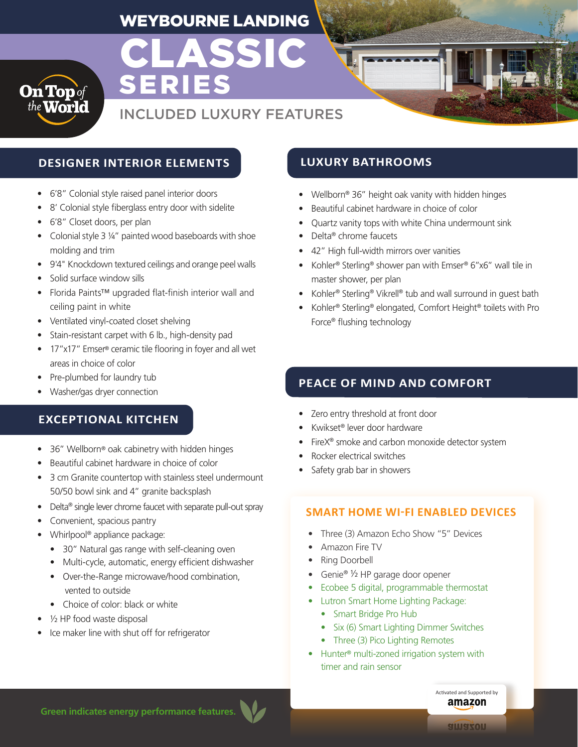# WEYBOURNE LANDING

CLASSIC

SERIES



# INCLUDED LUXURY FEATURES

# **DESIGNER INTERIOR ELEMENTS LUXURY BATHROOMS**

- 6'8" Colonial style raised panel interior doors
- 8' Colonial style fiberglass entry door with sidelite
- 6'8" Closet doors, per plan
- Colonial style 3 1/4" painted wood baseboards with shoe molding and trim
- 9'4" Knockdown textured ceilings and orange peel walls
- Solid surface window sills
- Florida Paints™ upgraded flat-finish interior wall and ceiling paint in white
- Ventilated vinyl-coated closet shelving
- Stain-resistant carpet with 6 lb., high-density pad
- 17"x17" Emser® ceramic tile flooring in foyer and all wet areas in choice of color
- Pre-plumbed for laundry tub
- Washer/gas dryer connection

# **EXCEPTIONAL KITCHEN**

- 36" Wellborn® oak cabinetry with hidden hinges
- Beautiful cabinet hardware in choice of color
- 3 cm Granite countertop with stainless steel undermount 50/50 bowl sink and 4" granite backsplash
- Delta® single lever chrome faucet with separate pull-out spray
- Convenient, spacious pantry
- Whirlpool® appliance package:
	- 30" Natural gas range with self-cleaning oven
	- Multi-cycle, automatic, energy efficient dishwasher
	- Over-the-Range microwave/hood combination, vented to outside
	- Choice of color: black or white
- 1/2 HP food waste disposal
- Ice maker line with shut off for refrigerator

- Wellborn® 36" height oak vanity with hidden hinges
- Beautiful cabinet hardware in choice of color
- Quartz vanity tops with white China undermount sink
- Delta® chrome faucets
- 42" High full-width mirrors over vanities
- Kohler<sup>®</sup> Sterling<sup>®</sup> shower pan with Emser® 6"x6" wall tile in master shower, per plan
- Kohler® Sterling® Vikrell® tub and wall surround in guest bath
- Kohler® Sterling® elongated, Comfort Height® toilets with Pro Force® flushing technology

# **PEACE OF MIND AND COMFORT**

- Zero entry threshold at front door
- Kwikset® lever door hardware
- FireX<sup>®</sup> smoke and carbon monoxide detector system
- Rocker electrical switches
- Safety grab bar in showers

### **SMART HOME WI-FI ENABLED DEVICES**

- Three (3) Amazon Echo Show "5" Devices
- Amazon Fire TV
- Ring Doorbell
- Genie® ½ HP garage door opener
- Ecobee 5 digital, programmable thermostat
- Lutron Smart Home Lighting Package:
	- Smart Bridge Pro Hub
	- Six (6) Smart Lighting Dimmer Switches
	- Three (3) Pico Lighting Remotes
- Hunter® multi-zoned irrigation system with timer and rain sensor

**Green indicates energy performance features.**

Activated and Supported by amazon